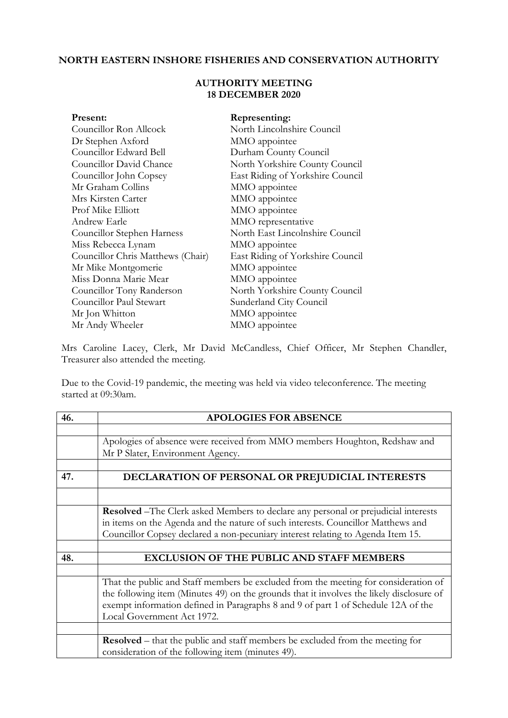## **NORTH EASTERN INSHORE FISHERIES AND CONSERVATION AUTHORITY**

## **AUTHORITY MEETING 18 DECEMBER 2020**

| Present:                          | Representing:                    |  |
|-----------------------------------|----------------------------------|--|
| Councillor Ron Allcock            | North Lincolnshire Council       |  |
| Dr Stephen Axford                 | MMO appointee                    |  |
| Councillor Edward Bell            | Durham County Council            |  |
| Councillor David Chance           | North Yorkshire County Council   |  |
| Councillor John Copsey            | East Riding of Yorkshire Council |  |
| Mr Graham Collins                 | MMO appointee                    |  |
| Mrs Kirsten Carter                | MMO appointee                    |  |
| Prof Mike Elliott                 | MMO appointee                    |  |
| Andrew Earle                      | MMO representative               |  |
| Councillor Stephen Harness        | North East Lincolnshire Council  |  |
| Miss Rebecca Lynam                | MMO appointee                    |  |
| Councillor Chris Matthews (Chair) | East Riding of Yorkshire Council |  |
| Mr Mike Montgomerie               | MMO appointee                    |  |
| Miss Donna Marie Mear             | MMO appointee                    |  |
| Councillor Tony Randerson         | North Yorkshire County Council   |  |
| Councillor Paul Stewart           | Sunderland City Council          |  |
| Mr Jon Whitton                    | MMO appointee                    |  |
| Mr Andy Wheeler                   | MMO appointee                    |  |

Mrs Caroline Lacey, Clerk, Mr David McCandless, Chief Officer, Mr Stephen Chandler, Treasurer also attended the meeting.

Due to the Covid-19 pandemic, the meeting was held via video teleconference. The meeting started at 09:30am.

| 46. | <b>APOLOGIES FOR ABSENCE</b>                                                                                                              |
|-----|-------------------------------------------------------------------------------------------------------------------------------------------|
|     |                                                                                                                                           |
|     | Apologies of absence were received from MMO members Houghton, Redshaw and                                                                 |
|     | Mr P Slater, Environment Agency.                                                                                                          |
|     |                                                                                                                                           |
| 47. | DECLARATION OF PERSONAL OR PREJUDICIAL INTERESTS                                                                                          |
|     |                                                                                                                                           |
|     | <b>Resolved</b> – The Clerk asked Members to declare any personal or prejudicial interests                                                |
|     | in items on the Agenda and the nature of such interests. Councillor Matthews and                                                          |
|     | Councillor Copsey declared a non-pecuniary interest relating to Agenda Item 15.                                                           |
|     |                                                                                                                                           |
| 48. | <b>EXCLUSION OF THE PUBLIC AND STAFF MEMBERS</b>                                                                                          |
|     |                                                                                                                                           |
|     | That the public and Staff members be excluded from the meeting for consideration of                                                       |
|     | the following item (Minutes 49) on the grounds that it involves the likely disclosure of                                                  |
|     | exempt information defined in Paragraphs 8 and 9 of part 1 of Schedule 12A of the                                                         |
|     | Local Government Act 1972.                                                                                                                |
|     |                                                                                                                                           |
|     | <b>Resolved</b> – that the public and staff members be excluded from the meeting for<br>consideration of the following item (minutes 49). |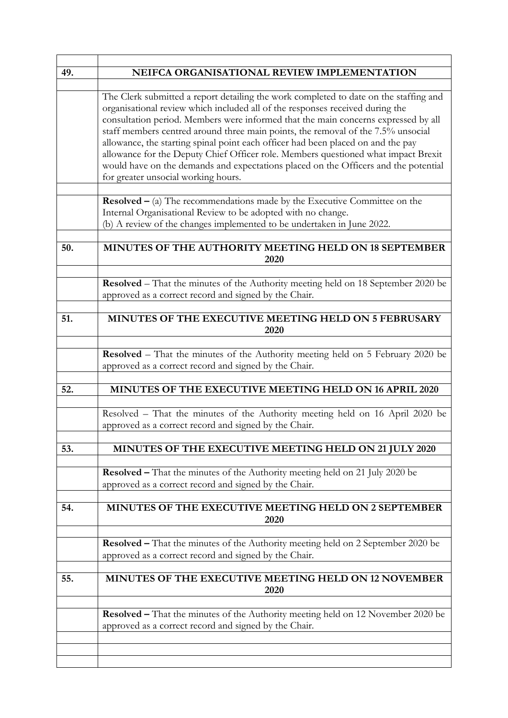| 49. | NEIFCA ORGANISATIONAL REVIEW IMPLEMENTATION                                                                                                                                                                                                                                                                                                                                                                                                                                                                                                                                                                                                              |
|-----|----------------------------------------------------------------------------------------------------------------------------------------------------------------------------------------------------------------------------------------------------------------------------------------------------------------------------------------------------------------------------------------------------------------------------------------------------------------------------------------------------------------------------------------------------------------------------------------------------------------------------------------------------------|
|     |                                                                                                                                                                                                                                                                                                                                                                                                                                                                                                                                                                                                                                                          |
|     | The Clerk submitted a report detailing the work completed to date on the staffing and<br>organisational review which included all of the responses received during the<br>consultation period. Members were informed that the main concerns expressed by all<br>staff members centred around three main points, the removal of the 7.5% unsocial<br>allowance, the starting spinal point each officer had been placed on and the pay<br>allowance for the Deputy Chief Officer role. Members questioned what impact Brexit<br>would have on the demands and expectations placed on the Officers and the potential<br>for greater unsocial working hours. |
|     | <b>Resolved</b> $-$ (a) The recommendations made by the Executive Committee on the<br>Internal Organisational Review to be adopted with no change.<br>(b) A review of the changes implemented to be undertaken in June 2022.                                                                                                                                                                                                                                                                                                                                                                                                                             |
| 50. | MINUTES OF THE AUTHORITY MEETING HELD ON 18 SEPTEMBER<br>2020                                                                                                                                                                                                                                                                                                                                                                                                                                                                                                                                                                                            |
|     | <b>Resolved</b> – That the minutes of the Authority meeting held on 18 September 2020 be<br>approved as a correct record and signed by the Chair.                                                                                                                                                                                                                                                                                                                                                                                                                                                                                                        |
| 51. | MINUTES OF THE EXECUTIVE MEETING HELD ON 5 FEBRUSARY<br>2020                                                                                                                                                                                                                                                                                                                                                                                                                                                                                                                                                                                             |
|     | <b>Resolved</b> – That the minutes of the Authority meeting held on 5 February 2020 be<br>approved as a correct record and signed by the Chair.                                                                                                                                                                                                                                                                                                                                                                                                                                                                                                          |
| 52. | MINUTES OF THE EXECUTIVE MEETING HELD ON 16 APRIL 2020                                                                                                                                                                                                                                                                                                                                                                                                                                                                                                                                                                                                   |
|     | Resolved - That the minutes of the Authority meeting held on 16 April 2020 be<br>approved as a correct record and signed by the Chair.                                                                                                                                                                                                                                                                                                                                                                                                                                                                                                                   |
| 53. | MINUTES OF THE EXECUTIVE MEETING HELD ON 21 JULY 2020                                                                                                                                                                                                                                                                                                                                                                                                                                                                                                                                                                                                    |
|     | <b>Resolved</b> – That the minutes of the Authority meeting held on 21 July 2020 be<br>approved as a correct record and signed by the Chair.                                                                                                                                                                                                                                                                                                                                                                                                                                                                                                             |
| 54. | MINUTES OF THE EXECUTIVE MEETING HELD ON 2 SEPTEMBER<br>2020                                                                                                                                                                                                                                                                                                                                                                                                                                                                                                                                                                                             |
|     | <b>Resolved</b> – That the minutes of the Authority meeting held on 2 September 2020 be<br>approved as a correct record and signed by the Chair.                                                                                                                                                                                                                                                                                                                                                                                                                                                                                                         |
| 55. | MINUTES OF THE EXECUTIVE MEETING HELD ON 12 NOVEMBER<br>2020                                                                                                                                                                                                                                                                                                                                                                                                                                                                                                                                                                                             |
|     | Resolved - That the minutes of the Authority meeting held on 12 November 2020 be<br>approved as a correct record and signed by the Chair.                                                                                                                                                                                                                                                                                                                                                                                                                                                                                                                |
|     |                                                                                                                                                                                                                                                                                                                                                                                                                                                                                                                                                                                                                                                          |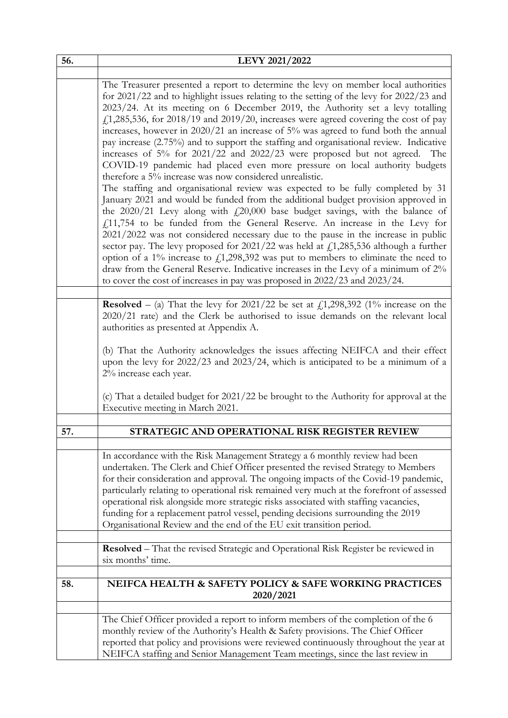| 56. | LEVY 2021/2022                                                                                                                                                                                                                                                                                                                                                                                                                                                                                                                                                                                                                                                                                                                                                                                                                                                                                                                                                                                                                                                                                                                                                                                                                                                                                                                                                                                                                                                                                                                                                    |
|-----|-------------------------------------------------------------------------------------------------------------------------------------------------------------------------------------------------------------------------------------------------------------------------------------------------------------------------------------------------------------------------------------------------------------------------------------------------------------------------------------------------------------------------------------------------------------------------------------------------------------------------------------------------------------------------------------------------------------------------------------------------------------------------------------------------------------------------------------------------------------------------------------------------------------------------------------------------------------------------------------------------------------------------------------------------------------------------------------------------------------------------------------------------------------------------------------------------------------------------------------------------------------------------------------------------------------------------------------------------------------------------------------------------------------------------------------------------------------------------------------------------------------------------------------------------------------------|
|     |                                                                                                                                                                                                                                                                                                                                                                                                                                                                                                                                                                                                                                                                                                                                                                                                                                                                                                                                                                                                                                                                                                                                                                                                                                                                                                                                                                                                                                                                                                                                                                   |
|     | The Treasurer presented a report to determine the levy on member local authorities<br>for 2021/22 and to highlight issues relating to the setting of the levy for 2022/23 and<br>2023/24. At its meeting on 6 December 2019, the Authority set a levy totalling<br>$f_{1,285,536}$ , for 2018/19 and 2019/20, increases were agreed covering the cost of pay<br>increases, however in 2020/21 an increase of 5% was agreed to fund both the annual<br>pay increase (2.75%) and to support the staffing and organisational review. Indicative<br>increases of 5% for 2021/22 and 2022/23 were proposed but not agreed. The<br>COVID-19 pandemic had placed even more pressure on local authority budgets<br>therefore a 5% increase was now considered unrealistic.<br>The staffing and organisational review was expected to be fully completed by 31<br>January 2021 and would be funded from the additional budget provision approved in<br>the $2020/21$ Levy along with $fz20,000$ base budget savings, with the balance of<br>$f_{\rm L}$ 11,754 to be funded from the General Reserve. An increase in the Levy for<br>2021/2022 was not considered necessary due to the pause in the increase in public<br>sector pay. The levy proposed for $2021/22$ was held at £1,285,536 although a further<br>option of a 1% increase to $f1,298,392$ was put to members to eliminate the need to<br>draw from the General Reserve. Indicative increases in the Levy of a minimum of 2%<br>to cover the cost of increases in pay was proposed in 2022/23 and 2023/24. |
|     |                                                                                                                                                                                                                                                                                                                                                                                                                                                                                                                                                                                                                                                                                                                                                                                                                                                                                                                                                                                                                                                                                                                                                                                                                                                                                                                                                                                                                                                                                                                                                                   |
|     | <b>Resolved</b> – (a) That the levy for 2021/22 be set at $f_1$ , 298, 392 (1% increase on the<br>2020/21 rate) and the Clerk be authorised to issue demands on the relevant local<br>authorities as presented at Appendix A.<br>(b) That the Authority acknowledges the issues affecting NEIFCA and their effect<br>upon the levy for 2022/23 and 2023/24, which is anticipated to be a minimum of a<br>2% increase each year.                                                                                                                                                                                                                                                                                                                                                                                                                                                                                                                                                                                                                                                                                                                                                                                                                                                                                                                                                                                                                                                                                                                                   |
|     | (c) That a detailed budget for 2021/22 be brought to the Authority for approval at the<br>Executive meeting in March 2021.                                                                                                                                                                                                                                                                                                                                                                                                                                                                                                                                                                                                                                                                                                                                                                                                                                                                                                                                                                                                                                                                                                                                                                                                                                                                                                                                                                                                                                        |
| 57. | STRATEGIC AND OPERATIONAL RISK REGISTER REVIEW                                                                                                                                                                                                                                                                                                                                                                                                                                                                                                                                                                                                                                                                                                                                                                                                                                                                                                                                                                                                                                                                                                                                                                                                                                                                                                                                                                                                                                                                                                                    |
|     |                                                                                                                                                                                                                                                                                                                                                                                                                                                                                                                                                                                                                                                                                                                                                                                                                                                                                                                                                                                                                                                                                                                                                                                                                                                                                                                                                                                                                                                                                                                                                                   |
|     | In accordance with the Risk Management Strategy a 6 monthly review had been<br>undertaken. The Clerk and Chief Officer presented the revised Strategy to Members<br>for their consideration and approval. The ongoing impacts of the Covid-19 pandemic,<br>particularly relating to operational risk remained very much at the forefront of assessed<br>operational risk alongside more strategic risks associated with staffing vacancies,<br>funding for a replacement patrol vessel, pending decisions surrounding the 2019<br>Organisational Review and the end of the EU exit transition period.                                                                                                                                                                                                                                                                                                                                                                                                                                                                                                                                                                                                                                                                                                                                                                                                                                                                                                                                                             |
|     | Resolved - That the revised Strategic and Operational Risk Register be reviewed in<br>six months' time.                                                                                                                                                                                                                                                                                                                                                                                                                                                                                                                                                                                                                                                                                                                                                                                                                                                                                                                                                                                                                                                                                                                                                                                                                                                                                                                                                                                                                                                           |
| 58. | NEIFCA HEALTH & SAFETY POLICY & SAFE WORKING PRACTICES                                                                                                                                                                                                                                                                                                                                                                                                                                                                                                                                                                                                                                                                                                                                                                                                                                                                                                                                                                                                                                                                                                                                                                                                                                                                                                                                                                                                                                                                                                            |
|     | 2020/2021                                                                                                                                                                                                                                                                                                                                                                                                                                                                                                                                                                                                                                                                                                                                                                                                                                                                                                                                                                                                                                                                                                                                                                                                                                                                                                                                                                                                                                                                                                                                                         |
|     | The Chief Officer provided a report to inform members of the completion of the 6<br>monthly review of the Authority's Health & Safety provisions. The Chief Officer<br>reported that policy and provisions were reviewed continuously throughout the year at<br>NEIFCA staffing and Senior Management Team meetings, since the last review in                                                                                                                                                                                                                                                                                                                                                                                                                                                                                                                                                                                                                                                                                                                                                                                                                                                                                                                                                                                                                                                                                                                                                                                                                     |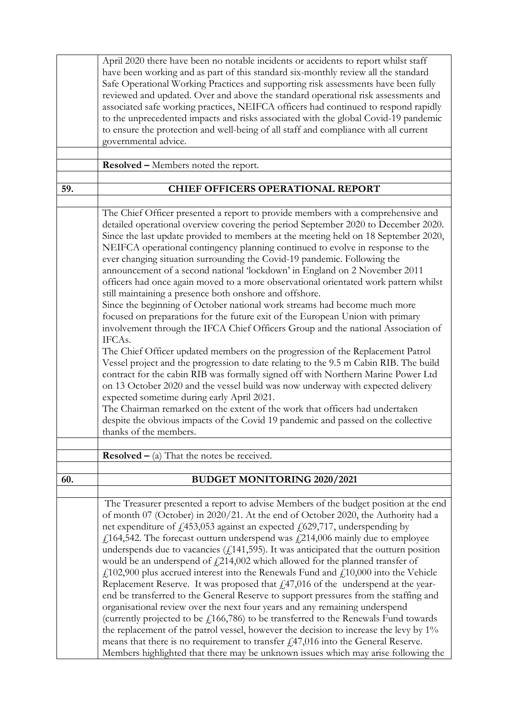|     | April 2020 there have been no notable incidents or accidents to report whilst staff<br>have been working and as part of this standard six-monthly review all the standard<br>Safe Operational Working Practices and supporting risk assessments have been fully<br>reviewed and updated. Over and above the standard operational risk assessments and<br>associated safe working practices, NEIFCA officers had continued to respond rapidly<br>to the unprecedented impacts and risks associated with the global Covid-19 pandemic<br>to ensure the protection and well-being of all staff and compliance with all current<br>governmental advice.                                                                                                                                                                                                                                                                                                                                                                                                                                                                                                                                                                                                                                                                                                                                                                                                                                                                        |
|-----|----------------------------------------------------------------------------------------------------------------------------------------------------------------------------------------------------------------------------------------------------------------------------------------------------------------------------------------------------------------------------------------------------------------------------------------------------------------------------------------------------------------------------------------------------------------------------------------------------------------------------------------------------------------------------------------------------------------------------------------------------------------------------------------------------------------------------------------------------------------------------------------------------------------------------------------------------------------------------------------------------------------------------------------------------------------------------------------------------------------------------------------------------------------------------------------------------------------------------------------------------------------------------------------------------------------------------------------------------------------------------------------------------------------------------------------------------------------------------------------------------------------------------|
|     | <b>Resolved –</b> Members noted the report.                                                                                                                                                                                                                                                                                                                                                                                                                                                                                                                                                                                                                                                                                                                                                                                                                                                                                                                                                                                                                                                                                                                                                                                                                                                                                                                                                                                                                                                                                |
|     |                                                                                                                                                                                                                                                                                                                                                                                                                                                                                                                                                                                                                                                                                                                                                                                                                                                                                                                                                                                                                                                                                                                                                                                                                                                                                                                                                                                                                                                                                                                            |
| 59. | <b>CHIEF OFFICERS OPERATIONAL REPORT</b>                                                                                                                                                                                                                                                                                                                                                                                                                                                                                                                                                                                                                                                                                                                                                                                                                                                                                                                                                                                                                                                                                                                                                                                                                                                                                                                                                                                                                                                                                   |
|     | The Chief Officer presented a report to provide members with a comprehensive and<br>detailed operational overview covering the period September 2020 to December 2020.<br>Since the last update provided to members at the meeting held on 18 September 2020,<br>NEIFCA operational contingency planning continued to evolve in response to the<br>ever changing situation surrounding the Covid-19 pandemic. Following the<br>announcement of a second national 'lockdown' in England on 2 November 2011<br>officers had once again moved to a more observational orientated work pattern whilst<br>still maintaining a presence both onshore and offshore.<br>Since the beginning of October national work streams had become much more<br>focused on preparations for the future exit of the European Union with primary<br>involvement through the IFCA Chief Officers Group and the national Association of<br>IFCAs.<br>The Chief Officer updated members on the progression of the Replacement Patrol<br>Vessel project and the progression to date relating to the 9.5 m Cabin RIB. The build<br>contract for the cabin RIB was formally signed off with Northern Marine Power Ltd<br>on 13 October 2020 and the vessel build was now underway with expected delivery<br>expected sometime during early April 2021.<br>The Chairman remarked on the extent of the work that officers had undertaken<br>despite the obvious impacts of the Covid 19 pandemic and passed on the collective<br>thanks of the members. |
|     |                                                                                                                                                                                                                                                                                                                                                                                                                                                                                                                                                                                                                                                                                                                                                                                                                                                                                                                                                                                                                                                                                                                                                                                                                                                                                                                                                                                                                                                                                                                            |
|     | <b>Resolved</b> $-$ (a) That the notes be received.                                                                                                                                                                                                                                                                                                                                                                                                                                                                                                                                                                                                                                                                                                                                                                                                                                                                                                                                                                                                                                                                                                                                                                                                                                                                                                                                                                                                                                                                        |
| 60. | <b>BUDGET MONITORING 2020/2021</b>                                                                                                                                                                                                                                                                                                                                                                                                                                                                                                                                                                                                                                                                                                                                                                                                                                                                                                                                                                                                                                                                                                                                                                                                                                                                                                                                                                                                                                                                                         |
|     | The Treasurer presented a report to advise Members of the budget position at the end<br>of month 07 (October) in 2020/21. At the end of October 2020, the Authority had a<br>net expenditure of £453,053 against an expected £629,717, underspending by<br>£164,542. The forecast outturn underspend was £214,006 mainly due to employee<br>underspends due to vacancies $(f141,595)$ . It was anticipated that the outturn position<br>would be an underspend of $\text{\textsterling}214,002$ which allowed for the planned transfer of<br>$f1$ , 102,900 plus accrued interest into the Renewals Fund and $f1$ , 10,000 into the Vehicle<br>Replacement Reserve. It was proposed that $fz47,016$ of the underspend at the year-<br>end be transferred to the General Reserve to support pressures from the staffing and<br>organisational review over the next four years and any remaining underspend<br>(currently projected to be $f(166,786)$ to be transferred to the Renewals Fund towards<br>the replacement of the patrol vessel, however the decision to increase the levy by 1%<br>means that there is no requirement to transfer $f147,016$ into the General Reserve.<br>Members highlighted that there may be unknown issues which may arise following the                                                                                                                                                                                                                                                  |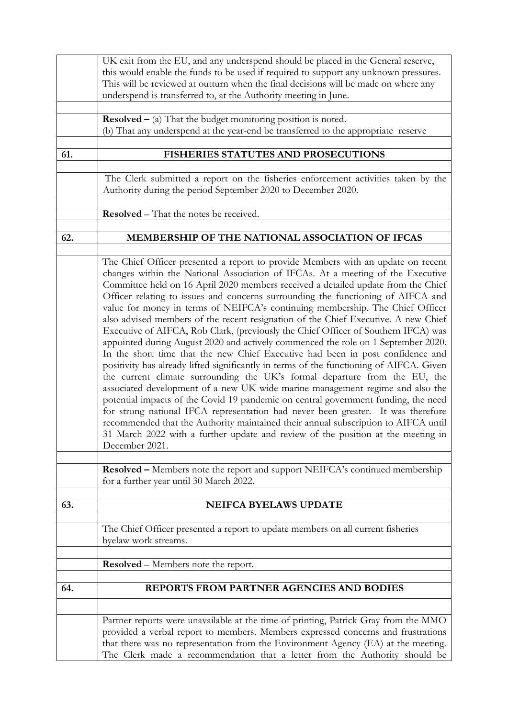|     | UK exit from the EU, and any underspend should be placed in the General reserve,<br>this would enable the funds to be used if required to support any unknown pressures.<br>This will be reviewed at outturn when the final decisions will be made on where any<br>underspend is transferred to, at the Authority meeting in June.                                                                                                                                                                                                                                                                                                                                                                                                                                                                                                                                                                                                                                                                                                                                                                                                                                                                                                                                                                                                                                                                               |
|-----|------------------------------------------------------------------------------------------------------------------------------------------------------------------------------------------------------------------------------------------------------------------------------------------------------------------------------------------------------------------------------------------------------------------------------------------------------------------------------------------------------------------------------------------------------------------------------------------------------------------------------------------------------------------------------------------------------------------------------------------------------------------------------------------------------------------------------------------------------------------------------------------------------------------------------------------------------------------------------------------------------------------------------------------------------------------------------------------------------------------------------------------------------------------------------------------------------------------------------------------------------------------------------------------------------------------------------------------------------------------------------------------------------------------|
|     | <b>Resolved</b> $-$ (a) That the budget monitoring position is noted.<br>(b) That any underspend at the year-end be transferred to the appropriate reserve                                                                                                                                                                                                                                                                                                                                                                                                                                                                                                                                                                                                                                                                                                                                                                                                                                                                                                                                                                                                                                                                                                                                                                                                                                                       |
| 61. | FISHERIES STATUTES AND PROSECUTIONS                                                                                                                                                                                                                                                                                                                                                                                                                                                                                                                                                                                                                                                                                                                                                                                                                                                                                                                                                                                                                                                                                                                                                                                                                                                                                                                                                                              |
|     | The Clerk submitted a report on the fisheries enforcement activities taken by the<br>Authority during the period September 2020 to December 2020.                                                                                                                                                                                                                                                                                                                                                                                                                                                                                                                                                                                                                                                                                                                                                                                                                                                                                                                                                                                                                                                                                                                                                                                                                                                                |
|     | Resolved - That the notes be received.                                                                                                                                                                                                                                                                                                                                                                                                                                                                                                                                                                                                                                                                                                                                                                                                                                                                                                                                                                                                                                                                                                                                                                                                                                                                                                                                                                           |
| 62. | MEMBERSHIP OF THE NATIONAL ASSOCIATION OF IFCAS                                                                                                                                                                                                                                                                                                                                                                                                                                                                                                                                                                                                                                                                                                                                                                                                                                                                                                                                                                                                                                                                                                                                                                                                                                                                                                                                                                  |
|     |                                                                                                                                                                                                                                                                                                                                                                                                                                                                                                                                                                                                                                                                                                                                                                                                                                                                                                                                                                                                                                                                                                                                                                                                                                                                                                                                                                                                                  |
|     | The Chief Officer presented a report to provide Members with an update on recent<br>changes within the National Association of IFCAs. At a meeting of the Executive<br>Committee held on 16 April 2020 members received a detailed update from the Chief<br>Officer relating to issues and concerns surrounding the functioning of AIFCA and<br>value for money in terms of NEIFCA's continuing membership. The Chief Officer<br>also advised members of the recent resignation of the Chief Executive. A new Chief<br>Executive of AIFCA, Rob Clark, (previously the Chief Officer of Southern IFCA) was<br>appointed during August 2020 and actively commenced the role on 1 September 2020.<br>In the short time that the new Chief Executive had been in post confidence and<br>positivity has already lifted significantly in terms of the functioning of AIFCA. Given<br>the current climate surrounding the UK's formal departure from the EU, the<br>associated development of a new UK wide marine management regime and also the<br>potential impacts of the Covid 19 pandemic on central government funding, the need<br>for strong national IFCA representation had never been greater. It was therefore<br>recommended that the Authority maintained their annual subscription to AIFCA until<br>31 March 2022 with a further update and review of the position at the meeting in<br>December 2021. |
|     | Resolved - Members note the report and support NEIFCA's continued membership                                                                                                                                                                                                                                                                                                                                                                                                                                                                                                                                                                                                                                                                                                                                                                                                                                                                                                                                                                                                                                                                                                                                                                                                                                                                                                                                     |
|     | for a further year until 30 March 2022.                                                                                                                                                                                                                                                                                                                                                                                                                                                                                                                                                                                                                                                                                                                                                                                                                                                                                                                                                                                                                                                                                                                                                                                                                                                                                                                                                                          |
| 63. | <b>NEIFCA BYELAWS UPDATE</b>                                                                                                                                                                                                                                                                                                                                                                                                                                                                                                                                                                                                                                                                                                                                                                                                                                                                                                                                                                                                                                                                                                                                                                                                                                                                                                                                                                                     |
|     | The Chief Officer presented a report to update members on all current fisheries<br>byelaw work streams.                                                                                                                                                                                                                                                                                                                                                                                                                                                                                                                                                                                                                                                                                                                                                                                                                                                                                                                                                                                                                                                                                                                                                                                                                                                                                                          |
|     | <b>Resolved</b> – Members note the report.                                                                                                                                                                                                                                                                                                                                                                                                                                                                                                                                                                                                                                                                                                                                                                                                                                                                                                                                                                                                                                                                                                                                                                                                                                                                                                                                                                       |
| 64. | REPORTS FROM PARTNER AGENCIES AND BODIES                                                                                                                                                                                                                                                                                                                                                                                                                                                                                                                                                                                                                                                                                                                                                                                                                                                                                                                                                                                                                                                                                                                                                                                                                                                                                                                                                                         |
|     |                                                                                                                                                                                                                                                                                                                                                                                                                                                                                                                                                                                                                                                                                                                                                                                                                                                                                                                                                                                                                                                                                                                                                                                                                                                                                                                                                                                                                  |
|     | Partner reports were unavailable at the time of printing, Patrick Gray from the MMO<br>provided a verbal report to members. Members expressed concerns and frustrations<br>that there was no representation from the Environment Agency (EA) at the meeting.<br>The Clerk made a recommendation that a letter from the Authority should be                                                                                                                                                                                                                                                                                                                                                                                                                                                                                                                                                                                                                                                                                                                                                                                                                                                                                                                                                                                                                                                                       |